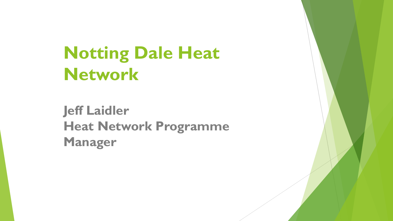# **Notting Dale Heat Network**

**Jeff Laidler Heat Network Programme Manager**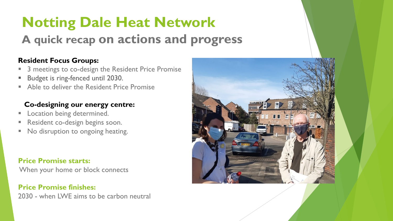## **Notting Dale Heat Network A quick recap on actions and progress**

#### **Resident Focus Groups:**

- 3 meetings to co-design the Resident Price Promise
- Budget is ring-fenced until 2030.
- Able to deliver the Resident Price Promise

#### **Co-designing our energy centre:**

- **Location being determined.**
- Resident co-design begins soon.
- **No disruption to ongoing heating.**

#### **Price Promise starts:**

When your home or block connects

**Price Promise finishes:**  2030 - when LWE aims to be carbon neutral

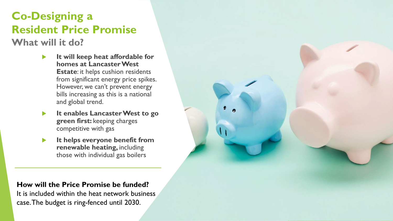### **Co-Designing a Resident Price Promise**

**What will it do?**

- **It will keep heat affordable for homes at Lancaster West Estate**: it helps cushion residents from significant energy price spikes. However, we can't prevent energy bills increasing as this is a national and global trend.
- **It enables Lancaster West to go green first:** keeping charges competitive with gas
- **It helps everyone benefit from renewable heating,** including those with individual gas boilers

**How will the Price Promise be funded?**

It is included within the heat network business case. The budget is ring-fenced until 2030.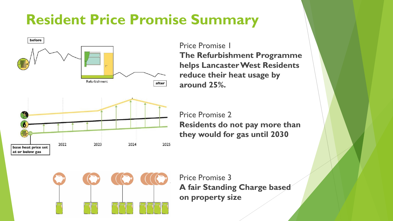## **Resident Price Promise Summary**



Price Promise 1 **The Refurbishment Programme helps Lancaster West Residents reduce their heat usage by around 25%.**

Price Promise 2 **Residents do not pay more than they would for gas until 2030**



Price Promise 3 **A fair Standing Charge based on property size**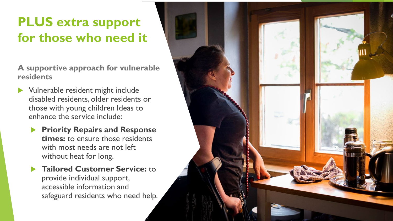### **PLUS extra support for those who need it**

**A supportive approach for vulnerable residents**

- **Nulnerable resident might include** disabled residents, older residents or those with young children Ideas to enhance the service include:
	- **Priority Repairs and Response times:** to ensure those residents with most needs are not left without heat for long.
	- **Tailored Customer Service:** to provide individual support, accessible information and safeguard residents who need help.

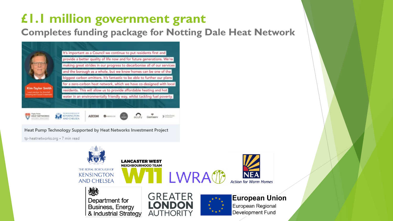### **£1.1 million government grant**

**Completes funding package for Notting Dale Heat Network**



Heat Pump Technology Supported by Heat Networks Investment Project

tp-heatnetworks.org . 7 min read

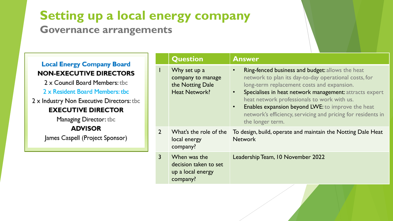### **Setting up a local energy company**

#### **Governance arrangements**

#### **Local Energy Company Board NON-EXECUTIVE DIRECTORS**

2 x Council Board Members: the 2 x Resident Board Members: tbc

2 x Industry Non Executive Directors: tbc **EXECUTIVE DIRECTOR** 

Managing Director: tbc

#### **ADVISOR**

James Caspell (Project Sponsor)

|                | <b>Question</b>                                                               | <b>Answer</b>                                                                                                                                                                                                                                                                                                                                                                                                                        |
|----------------|-------------------------------------------------------------------------------|--------------------------------------------------------------------------------------------------------------------------------------------------------------------------------------------------------------------------------------------------------------------------------------------------------------------------------------------------------------------------------------------------------------------------------------|
|                | Why set up a<br>company to manage<br>the Notting Dale<br><b>Heat Network?</b> | Ring-fenced business and budget: allows the heat<br>$\bullet$<br>network to plan its day-to-day operational costs, for<br>long-term replacement costs and expansion.<br>Specialises in heat network management: attracts expert<br>heat network professionals to work with us.<br>Enables expansion beyond LWE: to improve the heat<br>$\bullet$<br>network's efficiency, servicing and pricing for residents in<br>the longer term. |
| $\overline{2}$ | What's the role of the<br>local energy<br>company?                            | To design, build, operate and maintain the Notting Dale Heat<br><b>Network</b>                                                                                                                                                                                                                                                                                                                                                       |
| $\overline{3}$ | When was the<br>decision taken to set<br>up a local energy<br>company?        | Leadership Team, 10 November 2022                                                                                                                                                                                                                                                                                                                                                                                                    |
|                |                                                                               |                                                                                                                                                                                                                                                                                                                                                                                                                                      |